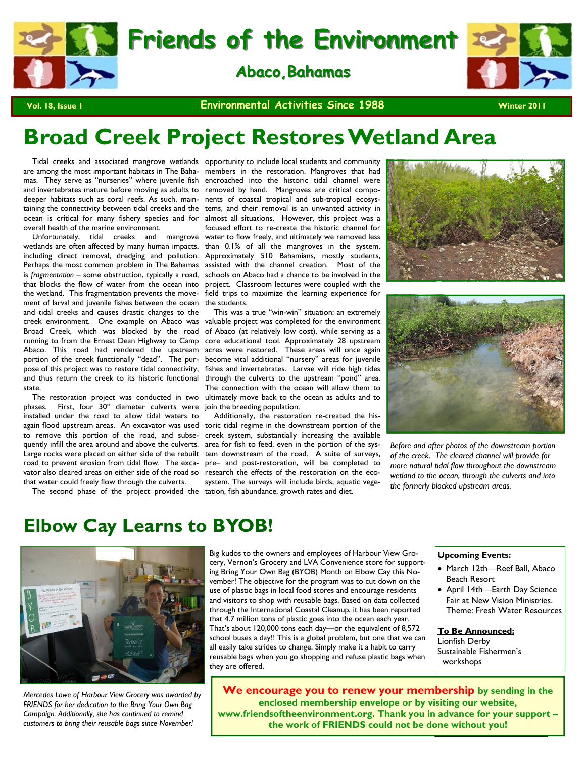

**Vol. 18, Issue 1 CONCERTITY CONTROVERSE ISSUE 2011 Winter 2011 Winter 2011** 

# **Broad Creek Project Restores Wetland Area**

and invertebrates mature before moving as adults to removed by hand. Mangroves are critical compodeeper habitats such as coral reefs. As such, main-nents of coastal tropical and sub-tropical ecosysoverall health of the marine environment.

wetlands are often affected by many human impacts, including direct removal, dredging and pollution. Perhaps the most common problem in The Bahamas assisted with the channel creation. Most of the is *fragmentation* – some obstruction, typically a road, schools on Abaco had a chance to be involved in the that blocks the flow of water from the ocean into project. Classroom lectures were coupled with the the wetland. This fragmentation prevents the movement of larval and juvenile fishes between the ocean and tidal creeks and causes drastic changes to the creek environment. One example on Abaco was Broad Creek, which was blocked by the road of Abaco (at relatively low cost), while serving as a running to from the Ernest Dean Highway to Camp core educational tool. Approximately 28 upstream Abaco. This road had rendered the upstream acres were restored. These areas will once again portion of the creek functionally "dead". The purpose of this project was to restore tidal connectivity, and thus return the creek to its historic functional state.

phases. First, four 30" diameter culverts were join the breeding population. installed under the road to allow tidal waters to quently infill the area around and above the culverts. area for fish to feed, even in the portion of the sysroad to prevent erosion from tidal flow. The excavator also cleared areas on either side of the road so research the effects of the restoration on the ecothat water could freely flow through the culverts.

 Tidal creeks and associated mangrove wetlands opportunity to include local students and community are among the most important habitats in The Baha-members in the restoration. Mangroves that had mas. They serve as "nurseries" where juvenile fish encroached into the historic tidal channel were taining the connectivity between tidal creeks and the tems, and their removal is an unwanted activity in ocean is critical for many fishery species and for almost all situations. However, this project was a Unfortunately, tidal creeks and mangrove water to flow freely, and ultimately we removed less focused effort to re-create the historic channel for than 0.1% of all the mangroves in the system. Approximately 510 Bahamians, mostly students, field trips to maximize the learning experience for the students.

 The restoration project was conducted in two ultimately move back to the ocean as adults and to This was a true "win-win" situation: an extremely valuable project was completed for the environment become vital additional "nursery" areas for juvenile fishes and invertebrates. Larvae will ride high tides through the culverts to the upstream "pond" area. The connection with the ocean will allow them to

again flood upstream areas. An excavator was used toric tidal regime in the downstream portion of the to remove this portion of the road, and subse-creek system, substantially increasing the available Large rocks were placed on either side of the rebuilt tem downstream of the road. A suite of surveys, The second phase of the project provided the tation, fish abundance, growth rates and diet. Additionally, the restoration re-created the hispre– and post-restoration, will be completed to system. The surveys will include birds, aquatic vege-





*Before and after photos of the downstream portion of the creek. The cleared channel will provide for more natural tidal flow throughout the downstream wetland to the ocean, through the culverts and into the formerly blocked upstream areas.* 

# **Elbow Cay Learns to BYOB!**



*Mercedes Lowe of Harbour View Grocery was awarded by FRIENDS for her dedication to the Bring Your Own Bag Campaign. Additionally, she has continued to remind customers to bring their reusable bags since November!* 

Big kudos to the owners and employees of Harbour View Grocery, Vernon's Grocery and LVA Convenience store for supporting Bring Your Own Bag (BYOB) Month on Elbow Cay this November! The objective for the program was to cut down on the use of plastic bags in local food stores and encourage residents and visitors to shop with reusable bags. Based on data collected through the International Coastal Cleanup, it has been reported that 4.7 million tons of plastic goes into the ocean each year. That's about 120,000 tons each day—or the equivalent of 8,572 school buses a day!! This is a global problem, but one that we can all easily take strides to change. Simply make it a habit to carry reusable bags when you go shopping and refuse plastic bags when they are offered.

#### **Upcoming Events:**

- March 12th—Reef Ball, Abaco Beach Resort
- April 14th—Earth Day Science Fair at New Vision Ministries. Theme: Fresh Water Resources

**To Be Announced:** Lionfish Derby Sustainable Fishermen's workshops

**We encourage you to renew your membership by sending in the enclosed membership envelope or by visiting our website, www.friendsoftheenvironment.org. Thank you in advance for your support – the work of FRIENDS could not be done without you!**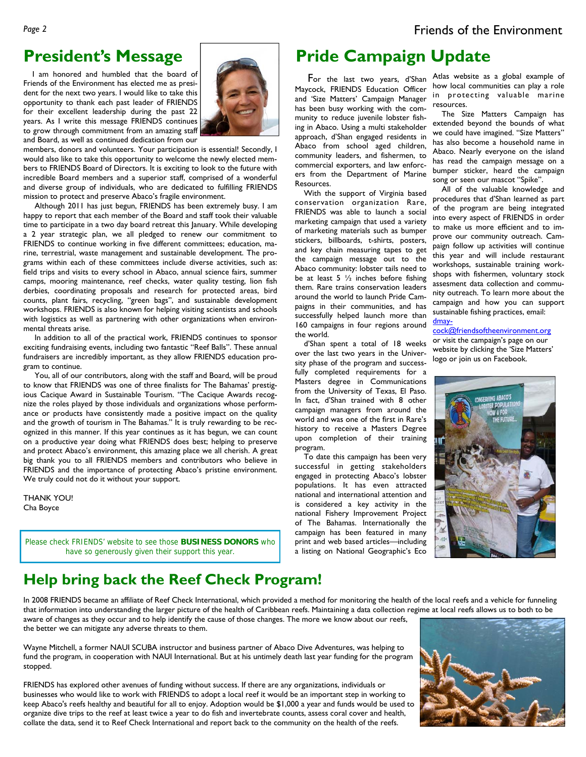# **President's Message**

 I am honored and humbled that the board of Friends of the Environment has elected me as president for the next two years. I would like to take this opportunity to thank each past leader of FRIENDS for their excellent leadership during the past 22 years. As I write this message FRIENDS continues to grow through commitment from an amazing staff and Board, as well as continued dedication from our



members, donors and volunteers. Your participation is essential! Secondly, I would also like to take this opportunity to welcome the newly elected members to FRIENDS Board of Directors. It is exciting to look to the future with incredible Board members and a superior staff, comprised of a wonderful and diverse group of individuals, who are dedicated to fulfilling FRIENDS mission to protect and preserve Abaco's fragile environment.

 Although 2011 has just begun, FRIENDS has been extremely busy. I am happy to report that each member of the Board and staff took their valuable time to participate in a two day board retreat this January. While developing a 2 year strategic plan, we all pledged to renew our commitment to FRIENDS to continue working in five different committees; education, marine, terrestrial, waste management and sustainable development. The programs within each of these committees include diverse activities, such as: field trips and visits to every school in Abaco, annual science fairs, summer camps, mooring maintenance, reef checks, water quality testing, lion fish derbies, coordinating proposals and research for protected areas, bird counts, plant fairs, recycling, "green bags", and sustainable development workshops. FRIENDS is also known for helping visiting scientists and schools with logistics as well as partnering with other organizations when environmental threats arise.

 In addition to all of the practical work, FRIENDS continues to sponsor exciting fundraising events, including two fantastic "Reef Balls". These annual fundraisers are incredibly important, as they allow FRIENDS education program to continue.

 You, all of our contributors, along with the staff and Board, will be proud to know that FRIENDS was one of three finalists for The Bahamas' prestigious Cacique Award in Sustainable Tourism. "The Cacique Awards recognize the roles played by those individuals and organizations whose performance or products have consistently made a positive impact on the quality and the growth of tourism in The Bahamas." It is truly rewarding to be recognized in this manner. If this year continues as it has begun, we can count on a productive year doing what FRIENDS does best; helping to preserve and protect Abaco's environment, this amazing place we all cherish. A great big thank you to all FRIENDS members and contributors who believe in FRIENDS and the importance of protecting Abaco's pristine environment. We truly could not do it without your support.

THANK YOU! Cha Boyce

Please check FRIENDS' website to see those **BUSINESS DONORS** who have so generously given their support this year.

# **Pride Campaign Update**

Maycock, FRIENDS Education Officer and 'Size Matters' Campaign Manager has been busy working with the community to reduce juvenile lobster fishing in Abaco. Using a multi stakeholder approach, d'Shan engaged residents in Abaco from school aged children, community leaders, and fishermen, to commercial exporters, and law enforcers from the Department of Marine Resources.

 With the support of Virginia based conservation organization Rare, FRIENDS was able to launch a social marketing campaign that used a variety of marketing materials such as bumper stickers, billboards, t-shirts, posters, and key chain measuring tapes to get the campaign message out to the Abaco community: lobster tails need to be at least 5  $\frac{1}{2}$  inches before fishing them. Rare trains conservation leaders around the world to launch Pride Campaigns in their communities, and has successfully helped launch more than 160 campaigns in four regions around the world.

 d'Shan spent a total of 18 weeks over the last two years in the University phase of the program and successfully completed requirements for a Masters degree in Communications from the University of Texas, El Paso. In fact, d'Shan trained with 8 other campaign managers from around the world and was one of the first in Rare's history to receive a Masters Degree upon completion of their training program.

 To date this campaign has been very successful in getting stakeholders engaged in protecting Abaco's lobster populations. It has even attracted national and international attention and is considered a key activity in the national Fishery Improvement Project of The Bahamas. Internationally the campaign has been featured in many print and web based articles—including a listing on National Geographic's Eco

 For the last two years, d'Shan Atlas website as a global example of how local communities can play a role in protecting valuable marine resources.

 The Size Matters Campaign has extended beyond the bounds of what we could have imagined. "Size Matters" has also become a household name in Abaco. Nearly everyone on the island has read the campaign message on a bumper sticker, heard the campaign song or seen our mascot "Spike".

 All of the valuable knowledge and procedures that d'Shan learned as part of the program are being integrated into every aspect of FRIENDS in order to make us more efficient and to improve our community outreach. Campaign follow up activities will continue this year and will include restaurant workshops, sustainable training workshops with fishermen, voluntary stock assesment data collection and community outreach. To learn more about the campaign and how you can support sustainable fishing practices, email: dmay-

cock@friendsoftheenvironment.org or visit the campaign's page on our website by clicking the 'Size Matters' logo or join us on Facebook.



## **Help bring back the Reef Check Program!**

In 2008 FRIENDS became an affiliate of Reef Check International, which provided a method for monitoring the health of the local reefs and a vehicle for funneling that information into understanding the larger picture of the health of Caribbean reefs. Maintaining a data collection regime at local reefs allows us to both to be aware of changes as they occur and to help identify the cause of those changes. The more we know about our reefs,

the better we can mitigate any adverse threats to them.

Wayne Mitchell, a former NAUI SCUBA instructor and business partner of Abaco Dive Adventures, was helping to fund the program, in cooperation with NAUI International. But at his untimely death last year funding for the program stopped.

FRIENDS has explored other avenues of funding without success. If there are any organizations, individuals or businesses who would like to work with FRIENDS to adopt a local reef it would be an important step in working to keep Abaco's reefs healthy and beautiful for all to enjoy. Adoption would be \$1,000 a year and funds would be used to organize dive trips to the reef at least twice a year to do fish and invertebrate counts, assess coral cover and health, collate the data, send it to Reef Check International and report back to the community on the health of the reefs.

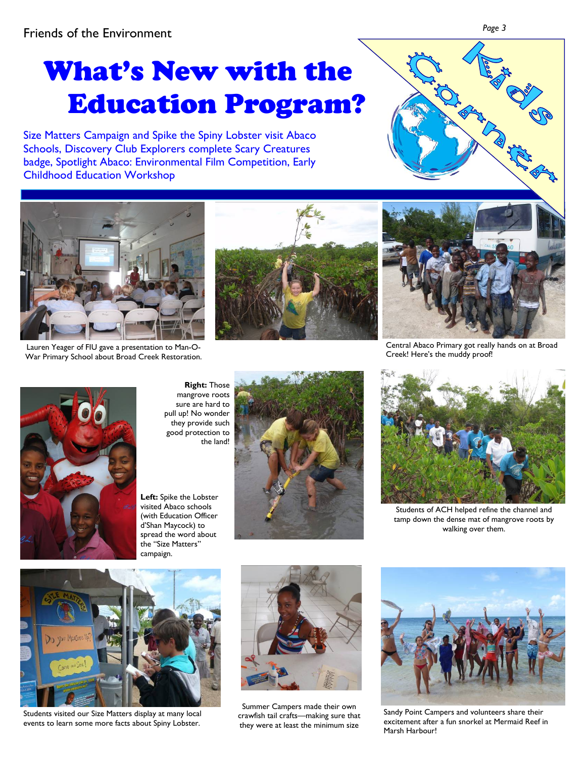# What's New with the Education Program?

Size Matters Campaign and Spike the Spiny Lobster visit Abaco Schools, Discovery Club Explorers complete Scary Creatures badge, Spotlight Abaco: Environmental Film Competition, Early Childhood Education Workshop





Lauren Yeager of FIU gave a presentation to Man-O-War Primary School about Broad Creek Restoration.





Central Abaco Primary got really hands on at Broad Creek! Here's the muddy proof!



**Right:** Those mangrove roots sure are hard to pull up! No wonder they provide such good protection to the land!

**Left:** Spike the Lobster visited Abaco schools (with Education Officer d'Shan Maycock) to spread the word about the "Size Matters" campaign.





Students of ACH helped refine the channel and tamp down the dense mat of mangrove roots by walking over them.



Students visited our Size Matters display at many local events to learn some more facts about Spiny Lobster.



Summer Campers made their own crawfish tail crafts—making sure that they were at least the minimum size



Sandy Point Campers and volunteers share their excitement after a fun snorkel at Mermaid Reef in Marsh Harbour!